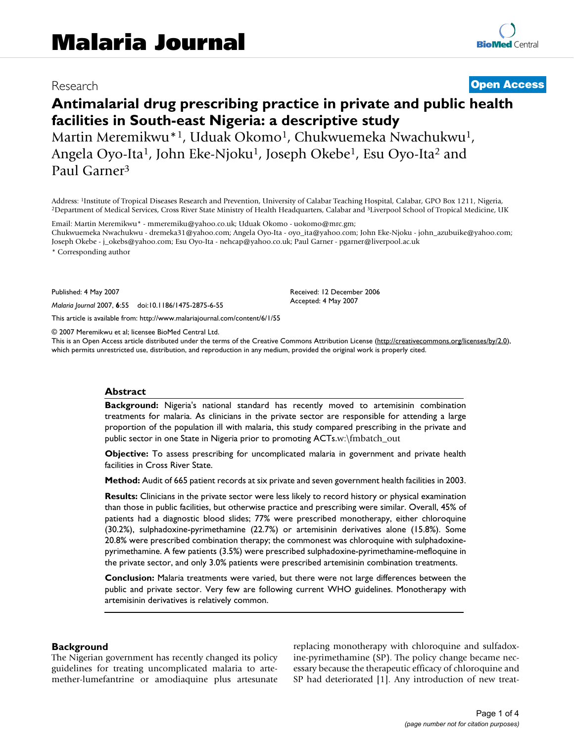# Research **[Open Access](http://www.biomedcentral.com/info/about/charter/)**

# **Antimalarial drug prescribing practice in private and public health facilities in South-east Nigeria: a descriptive study**

Martin Meremikwu\*<sup>1</sup>, Uduak Okomo<sup>1</sup>, Chukwuemeka Nwachukwu<sup>1</sup>, Angela Oyo-Ita<sup>1</sup>, John Eke-Njoku<sup>1</sup>, Joseph Okebe<sup>1</sup>, Esu Oyo-Ita<sup>2</sup> and Paul Garner3

Address: <sup>1</sup>Institute of Tropical Diseases Research and Prevention, University of Calabar Teaching Hospital, Calabar, GPO Box 1211, Nigeria, <sup>2</sup>Department of Medical Services, Cross River State Ministry of Health Headquart

Email: Martin Meremikwu\* - mmeremiku@yahoo.co.uk; Uduak Okomo - uokomo@mrc.gm; Chukwuemeka Nwachukwu - dremeka31@yahoo.com; Angela Oyo-Ita - oyo\_ita@yahoo.com; John Eke-Njoku - john\_azubuike@yahoo.com; Joseph Okebe - j\_okebs@yahoo.com; Esu Oyo-Ita - nehcap@yahoo.co.uk; Paul Garner - pgarner@liverpool.ac.uk

\* Corresponding author

Published: 4 May 2007

*Malaria Journal* 2007, **6**:55 doi:10.1186/1475-2875-6-55

[This article is available from: http://www.malariajournal.com/content/6/1/55](http://www.malariajournal.com/content/6/1/55)

© 2007 Meremikwu et al; licensee BioMed Central Ltd.

This is an Open Access article distributed under the terms of the Creative Commons Attribution License [\(http://creativecommons.org/licenses/by/2.0\)](http://creativecommons.org/licenses/by/2.0), which permits unrestricted use, distribution, and reproduction in any medium, provided the original work is properly cited.

Received: 12 December 2006 Accepted: 4 May 2007

#### **Abstract**

**Background:** Nigeria's national standard has recently moved to artemisinin combination treatments for malaria. As clinicians in the private sector are responsible for attending a large proportion of the population ill with malaria, this study compared prescribing in the private and public sector in one State in Nigeria prior to promoting ACTs.w:\fmbatch\_out

**Objective:** To assess prescribing for uncomplicated malaria in government and private health facilities in Cross River State.

**Method:** Audit of 665 patient records at six private and seven government health facilities in 2003.

**Results:** Clinicians in the private sector were less likely to record history or physical examination than those in public facilities, but otherwise practice and prescribing were similar. Overall, 45% of patients had a diagnostic blood slides; 77% were prescribed monotherapy, either chloroquine (30.2%), sulphadoxine-pyrimethamine (22.7%) or artemisinin derivatives alone (15.8%). Some 20.8% were prescribed combination therapy; the commonest was chloroquine with sulphadoxinepyrimethamine. A few patients (3.5%) were prescribed sulphadoxine-pyrimethamine-mefloquine in the private sector, and only 3.0% patients were prescribed artemisinin combination treatments.

**Conclusion:** Malaria treatments were varied, but there were not large differences between the public and private sector. Very few are following current WHO guidelines. Monotherapy with artemisinin derivatives is relatively common.

#### **Background**

The Nigerian government has recently changed its policy guidelines for treating uncomplicated malaria to artemether-lumefantrine or amodiaquine plus artesunate replacing monotherapy with chloroquine and sulfadoxine-pyrimethamine (SP). The policy change became necessary because the therapeutic efficacy of chloroquine and SP had deteriorated [1]. Any introduction of new treat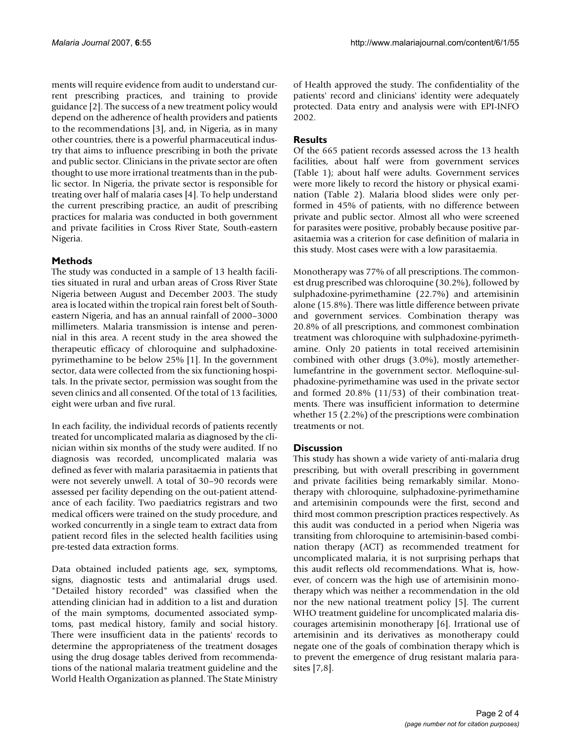ments will require evidence from audit to understand current prescribing practices, and training to provide guidance [2]. The success of a new treatment policy would depend on the adherence of health providers and patients to the recommendations [3], and, in Nigeria, as in many other countries, there is a powerful pharmaceutical industry that aims to influence prescribing in both the private and public sector. Clinicians in the private sector are often thought to use more irrational treatments than in the public sector. In Nigeria, the private sector is responsible for treating over half of malaria cases [4]. To help understand the current prescribing practice, an audit of prescribing practices for malaria was conducted in both government and private facilities in Cross River State, South-eastern Nigeria.

# **Methods**

The study was conducted in a sample of 13 health facilities situated in rural and urban areas of Cross River State Nigeria between August and December 2003. The study area is located within the tropical rain forest belt of Southeastern Nigeria, and has an annual rainfall of 2000–3000 millimeters. Malaria transmission is intense and perennial in this area. A recent study in the area showed the therapeutic efficacy of chloroquine and sulphadoxinepyrimethamine to be below 25% [1]. In the government sector, data were collected from the six functioning hospitals. In the private sector, permission was sought from the seven clinics and all consented. Of the total of 13 facilities, eight were urban and five rural.

In each facility, the individual records of patients recently treated for uncomplicated malaria as diagnosed by the clinician within six months of the study were audited. If no diagnosis was recorded, uncomplicated malaria was defined as fever with malaria parasitaemia in patients that were not severely unwell. A total of 30–90 records were assessed per facility depending on the out-patient attendance of each facility. Two paediatrics registrars and two medical officers were trained on the study procedure, and worked concurrently in a single team to extract data from patient record files in the selected health facilities using pre-tested data extraction forms.

Data obtained included patients age, sex, symptoms, signs, diagnostic tests and antimalarial drugs used. "Detailed history recorded" was classified when the attending clinician had in addition to a list and duration of the main symptoms, documented associated symptoms, past medical history, family and social history. There were insufficient data in the patients' records to determine the appropriateness of the treatment dosages using the drug dosage tables derived from recommendations of the national malaria treatment guideline and the World Health Organization as planned. The State Ministry of Health approved the study. The confidentiality of the patients' record and clinicians' identity were adequately protected. Data entry and analysis were with EPI-INFO 2002.

# **Results**

Of the 665 patient records assessed across the 13 health facilities, about half were from government services (Table 1); about half were adults. Government services were more likely to record the history or physical examination (Table 2). Malaria blood slides were only performed in 45% of patients, with no difference between private and public sector. Almost all who were screened for parasites were positive, probably because positive parasitaemia was a criterion for case definition of malaria in this study. Most cases were with a low parasitaemia.

Monotherapy was 77% of all prescriptions. The commonest drug prescribed was chloroquine (30.2%), followed by sulphadoxine-pyrimethamine (22.7%) and artemisinin alone (15.8%). There was little difference between private and government services. Combination therapy was 20.8% of all prescriptions, and commonest combination treatment was chloroquine with sulphadoxine-pyrimethamine. Only 20 patients in total received artemisinin combined with other drugs (3.0%), mostly artemetherlumefantrine in the government sector. Mefloquine-sulphadoxine-pyrimethamine was used in the private sector and formed 20.8% (11/53) of their combination treatments. There was insufficient information to determine whether 15 (2.2%) of the prescriptions were combination treatments or not.

## **Discussion**

This study has shown a wide variety of anti-malaria drug prescribing, but with overall prescribing in government and private facilities being remarkably similar. Monotherapy with chloroquine, sulphadoxine-pyrimethamine and artemisinin compounds were the first, second and third most common prescription practices respectively. As this audit was conducted in a period when Nigeria was transiting from chloroquine to artemisinin-based combination therapy (ACT) as recommended treatment for uncomplicated malaria, it is not surprising perhaps that this audit reflects old recommendations. What is, however, of concern was the high use of artemisinin monotherapy which was neither a recommendation in the old nor the new national treatment policy [5]. The current WHO treatment guideline for uncomplicated malaria discourages artemisinin monotherapy [6]. Irrational use of artemisinin and its derivatives as monotherapy could negate one of the goals of combination therapy which is to prevent the emergence of drug resistant malaria parasites [7,8].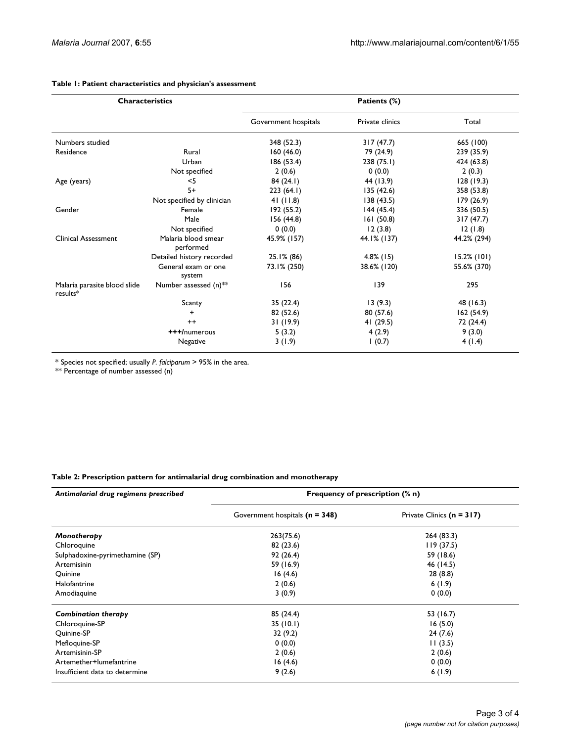| <b>Characteristics</b>                   |                                  | Patients (%)         |                 |                |
|------------------------------------------|----------------------------------|----------------------|-----------------|----------------|
|                                          |                                  | Government hospitals | Private clinics | Total          |
| Numbers studied                          |                                  | 348 (52.3)           | 317(47.7)       | 665 (100)      |
| Residence                                | Rural                            | 160(46.0)            | 79 (24.9)       | 239 (35.9)     |
|                                          | Urban                            | 186 (53.4)           | 238(75.1)       | 424 (63.8)     |
|                                          | Not specified                    | 2(0.6)               | 0(0.0)          | 2(0.3)         |
| Age (years)                              | $<$ 5                            | 84(24.1)             | 44 (13.9)       | 128(19.3)      |
|                                          | $5+$                             | 223(64.1)            | 135(42.6)       | 358 (53.8)     |
|                                          | Not specified by clinician       | 41 $(11.8)$          | 138(43.5)       | 179 (26.9)     |
| Gender                                   | Female                           | 192(55.2)            | 144(45.4)       | 336 (50.5)     |
|                                          | Male                             | 156 (44.8)           | 161(50.8)       | 317(47.7)      |
|                                          | Not specified                    | 0(0.0)               | 12(3.8)         | 12(1.8)        |
| Clinical Assessment                      | Malaria blood smear<br>performed | 45.9% (157)          | 44.1% (137)     | 44.2% (294)    |
|                                          | Detailed history recorded        | $25.1\%$ (86)        | $4.8\%$ (15)    | $15.2\%$ (101) |
|                                          | General exam or one<br>system    | 73.1% (250)          | 38.6% (120)     | 55.6% (370)    |
| Malaria parasite blood slide<br>results* | Number assessed $(n)$ **         | 156                  | 139             | 295            |
|                                          | Scanty                           | 35(22.4)             | 13(9.3)         | 48 (16.3)      |
|                                          | $\ddot{}$                        | 82 (52.6)            | 80 (57.6)       | 162(54.9)      |
|                                          | $++$                             | 31(19.9)             | 41 (29.5)       | 72 (24.4)      |
|                                          | +++/numerous                     | 5(3.2)               | 4(2.9)          | 9(3.0)         |
|                                          | Negative                         | 3(1.9)               | 1(0.7)          | 4(1.4)         |

#### **Table 1: Patient characteristics and physician's assessment**

\* Species not specified; usually *P. falciparum* > 95% in the area.

\*\* Percentage of number assessed (n)

#### **Table 2: Prescription pattern for antimalarial drug combination and monotherapy**

| Antimalarial drug regimens prescribed | Frequency of prescription (% n)  |                           |  |
|---------------------------------------|----------------------------------|---------------------------|--|
|                                       | Government hospitals $(n = 348)$ | Private Clinics (n = 317) |  |
| Monotherapy                           | 263(75.6)                        | 264(83.3)                 |  |
| Chloroquine                           | 82(23.6)                         | 119(37.5)                 |  |
| Sulphadoxine-pyrimethamine (SP)       | 92(26.4)                         | 59 (18.6)                 |  |
| Artemisinin                           | 59 (16.9)                        | 46 (14.5)                 |  |
| Quinine                               | 16(4.6)                          | 28(8.8)                   |  |
| Halofantrine                          | 2(0.6)                           | 6(1.9)                    |  |
| Amodiaguine                           | 3(0.9)                           | 0(0.0)                    |  |
| Combination therapy                   | 85 (24.4)                        | 53 (16.7)                 |  |
| Chloroquine-SP                        | 35(10.1)                         | 16(5.0)                   |  |
| Quinine-SP                            | 32(9.2)                          | 24(7.6)                   |  |
| Mefloquine-SP                         | 0(0.0)                           | 11(3.5)                   |  |
| Artemisinin-SP                        | 2(0.6)                           | 2(0.6)                    |  |
| Artemether+lumefantrine               | 16(4.6)                          | 0(0.0)                    |  |
| Insufficient data to determine        | 9(2.6)                           | 6(1.9)                    |  |